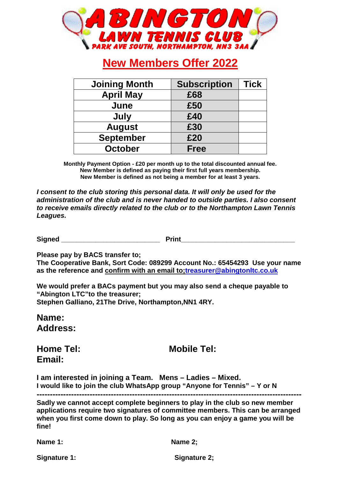

# **New Members Offer 2022**

| <b>Joining Month</b> | <b>Subscription</b> | Tick |
|----------------------|---------------------|------|
| <b>April May</b>     | £68                 |      |
| June                 | £50                 |      |
| July                 | £40                 |      |
| <b>August</b>        | £30                 |      |
| <b>September</b>     | £20                 |      |
| <b>October</b>       | <b>Free</b>         |      |

**Monthly Payment Option - £20 per month up to the total discounted annual fee. New Member is defined as paying their first full years membership. New Member is defined as not being a member for at least 3 years.**

**I consent to the club storing this personal data. It will only be used for the administration of the club and is never handed to outside parties. I also consent to receive emails directly related to the club or to the Northampton Lawn Tennis Leagues.** 

Signed **Print** 

**Please pay by BACS transfer to;** 

**The Cooperative Bank, Sort Code: 089299 Account No.: 65454293 Use your name as the reference and confirm with an email to;treasurer@abingtonltc.co.uk**

**We would prefer a BACs payment but you may also send a cheque payable to "Abington LTC"to the treasurer; Stephen Galliano, 21The Drive, Northampton,NN1 4RY.**

**Name: Address:** 

**Email:** 

**Home Tel: Mobile Tel: Mobile Tel:** 

**I am interested in joining a Team. Mens – Ladies – Mixed. I would like to join the club WhatsApp group "Anyone for Tennis" – Y or N** 

**----------------------------------------------------------------------------------------------------** 

**Sadly we cannot accept complete beginners to play in the club so new member applications require two signatures of committee members. This can be arranged when you first come down to play. So long as you can enjoy a game you will be fine!** 

**Name 1: Name 2;**

Signature 1: Signature 2: